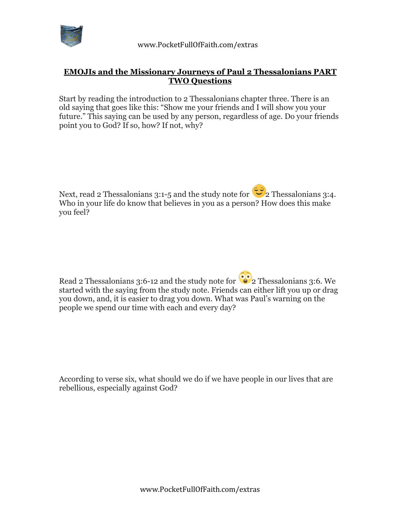

## **EMOJIs and the Missionary Journeys of Paul 2 Thessalonians PART TWO Questions**

Start by reading the introduction to 2 Thessalonians chapter three. There is an old saying that goes like this: "Show me your friends and I will show you your future." This saying can be used by any person, regardless of age. Do your friends point you to God? If so, how? If not, why?

Next, read 2 Thessalonians 3:1-5 and the study note for  $\mathbb{C}$  2 Thessalonians 3:4. Who in your life do know that believes in you as a person? How does this make you feel?

Read 2 Thessalonians 3:6-12 and the study note for  $\bullet$  2 Thessalonians 3:6. We started with the saying from the study note. Friends can either lift you up or drag you down, and, it is easier to drag you down. What was Paul's warning on the people we spend our time with each and every day?

According to verse six, what should we do if we have people in our lives that are rebellious, especially against God?